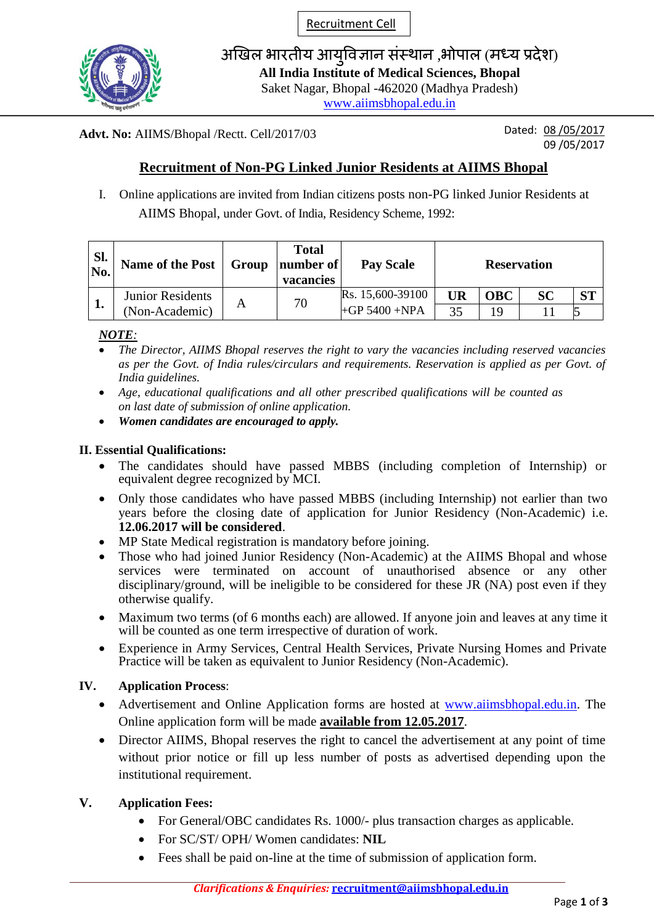Recruitment Cell



अखिल भारतीय आयुविज्ञान संस्थान ,भोपाल (मध्य प्रदेश) **All India Institute of Medical Sciences, Bhopal** Saket Nagar, Bhopal -462020 (Madhya Pradesh)

[www.aiimsbhopal.edu.in](http://www.aiimsbhopal.edu.in/)

#### **Advt. No:** AIIMS/Bhopal /Rectt. Cell/2017/03

Dated: 08 /05/2017 09 /05/2017

# **Recruitment of Non-PG Linked Junior Residents at AIIMS Bhopal**

I. Online applications are invited from Indian citizens posts non-PG linked Junior Residents at AIIMS Bhopal, under Govt. of India, Residency Scheme, 1992:

| Sl.<br>No. | Name of the Post        | Group | <b>Total</b><br>  <b>number</b> of<br>vacancies | <b>Pay Scale</b>  | <b>Reservation</b> |            |           |    |
|------------|-------------------------|-------|-------------------------------------------------|-------------------|--------------------|------------|-----------|----|
| <b>.</b>   | <b>Junior Residents</b> | А     | 70                                              | Rs. 15,600-39100  | UR                 | <b>OBC</b> | <b>SC</b> | CТ |
|            | (Non-Academic)          |       |                                                 | $+GP$ 5400 $+NPA$ | 35                 | 1 Q        |           |    |

*NOTE:*

- *The Director, AIIMS Bhopal reserves the right to vary the vacancies including reserved vacancies as per the Govt. of India rules/circulars and requirements. Reservation is applied as per Govt. of India guidelines.*
- *Age, educational qualifications and all other prescribed qualifications will be counted as on last date of submission of online application.*
- *Women candidates are encouraged to apply.*

### **II. Essential Qualifications:**

- The candidates should have passed MBBS (including completion of Internship) or equivalent degree recognized by MCI.
- Only those candidates who have passed MBBS (including Internship) not earlier than two years before the closing date of application for Junior Residency (Non-Academic) i.e. **12.06.2017 will be considered**.
- MP State Medical registration is mandatory before joining.
- Those who had joined Junior Residency (Non-Academic) at the AIIMS Bhopal and whose services were terminated on account of unauthorised absence or any other disciplinary/ground, will be ineligible to be considered for these JR (NA) post even if they otherwise qualify.
- Maximum two terms (of 6 months each) are allowed. If anyone join and leaves at any time it will be counted as one term irrespective of duration of work.
- Experience in Army Services, Central Health Services, Private Nursing Homes and Private Practice will be taken as equivalent to Junior Residency (Non-Academic).

### **IV. Application Process**:

- Advertisement and Online Application forms are hosted at [www.aiimsbhopal.edu.in.](http://www.aiimsbhopal.edu.in/) The Online application form will be made **available from 12.05.2017**.
- Director AIIMS, Bhopal reserves the right to cancel the advertisement at any point of time without prior notice or fill up less number of posts as advertised depending upon the institutional requirement.

### **V. Application Fees:**

- For General/OBC candidates Rs. 1000/- plus transaction charges as applicable.
- For SC/ST/ OPH/ Women candidates: **NIL**
- Fees shall be paid on-line at the time of submission of application form.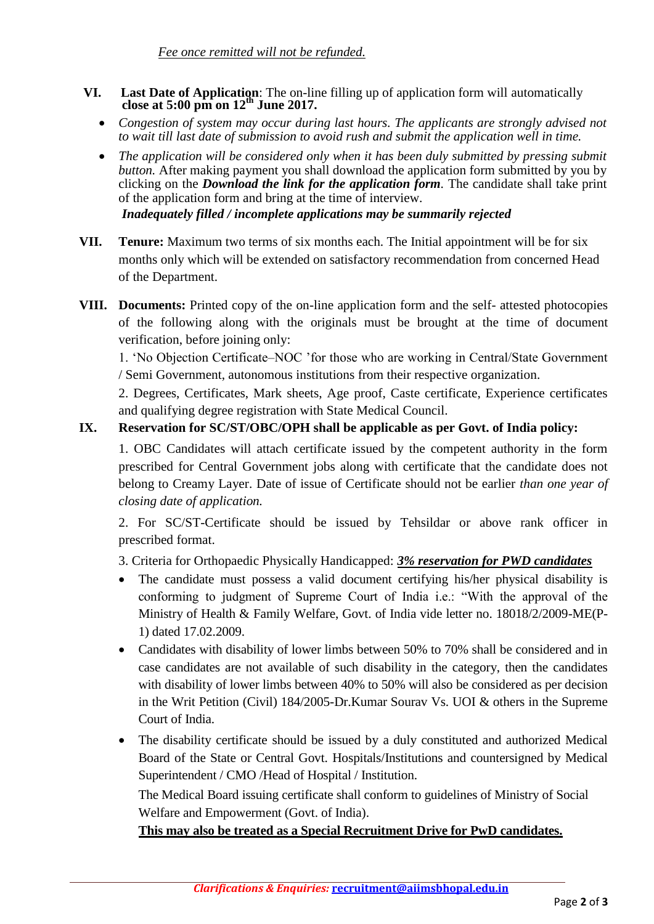- **VI.** Last Date of Application: The on-line filling up of application form will automatically close at  $5:00 \text{ pm on } 12^{\text{th}}$  June 2017.
	- *Congestion of system may occur during last hours. The applicants are strongly advised not to wait till last date of submission to avoid rush and submit the application well in time.*
	- *The application will be considered only when it has been duly submitted by pressing submit button.* After making payment you shall download the application form submitted by you by clicking on the *Download the link for the application form.* The candidate shall take print of the application form and bring at the time of interview. *Inadequately filled / incomplete applications may be summarily rejected*
- **VII. Tenure:** Maximum two terms of six months each. The Initial appointment will be for six months only which will be extended on satisfactory recommendation from concerned Head of the Department.
- **VIII. Documents:** Printed copy of the on-line application form and the self- attested photocopies of the following along with the originals must be brought at the time of document verification, before joining only:

1. 'No Objection Certificate–NOC 'for those who are working in Central/State Government / Semi Government, autonomous institutions from their respective organization.

2. Degrees, Certificates, Mark sheets, Age proof, Caste certificate, Experience certificates and qualifying degree registration with State Medical Council.

# **IX. Reservation for SC/ST/OBC/OPH shall be applicable as per Govt. of India policy:**

1. OBC Candidates will attach certificate issued by the competent authority in the form prescribed for Central Government jobs along with certificate that the candidate does not belong to Creamy Layer. Date of issue of Certificate should not be earlier *than one year of closing date of application.* 

2. For SC/ST-Certificate should be issued by Tehsildar or above rank officer in prescribed format.

3. Criteria for Orthopaedic Physically Handicapped: *3% reservation for PWD candidates*

- The candidate must possess a valid document certifying his/her physical disability is conforming to judgment of Supreme Court of India i.e.: "With the approval of the Ministry of Health & Family Welfare, Govt. of India vide letter no. 18018/2/2009-ME(P-1) dated 17.02.2009.
- Candidates with disability of lower limbs between 50% to 70% shall be considered and in case candidates are not available of such disability in the category, then the candidates with disability of lower limbs between 40% to 50% will also be considered as per decision in the Writ Petition (Civil) 184/2005-Dr.Kumar Sourav Vs. UOI & others in the Supreme Court of India.
- The disability certificate should be issued by a duly constituted and authorized Medical Board of the State or Central Govt. Hospitals/Institutions and countersigned by Medical Superintendent / CMO /Head of Hospital / Institution.

The Medical Board issuing certificate shall conform to guidelines of Ministry of Social Welfare and Empowerment (Govt. of India).

**This may also be treated as a Special Recruitment Drive for PwD candidates.**